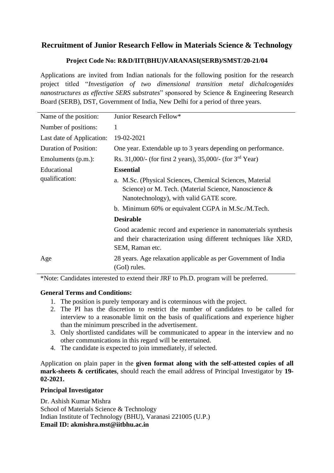## **Recruitment of Junior Research Fellow in Materials Science & Technology**

### **Project Code No: R&D/IIT(BHU)VARANASI(SERB)/SMST/20-21/04**

Applications are invited from Indian nationals for the following position for the research project titled "*Investigation of two dimensional transition metal dichalcogenides nanostructures as effective SERS substrates*" sponsored by Science & Engineering Research Board (SERB), DST, Government of India, New Delhi for a period of three years.

| Name of the position:        | Junior Research Fellow*                                                                                                                                      |  |  |  |
|------------------------------|--------------------------------------------------------------------------------------------------------------------------------------------------------------|--|--|--|
| Number of positions:         | 1                                                                                                                                                            |  |  |  |
| Last date of Application:    | 19-02-2021                                                                                                                                                   |  |  |  |
| <b>Duration of Position:</b> | One year. Extendable up to 3 years depending on performance.                                                                                                 |  |  |  |
| Emoluments (p.m.):           | Rs. 31,000/- (for first 2 years), 35,000/- (for $3rd$ Year)                                                                                                  |  |  |  |
| Educational                  | <b>Essential</b>                                                                                                                                             |  |  |  |
| qualification:               | a. M.Sc. (Physical Sciences, Chemical Sciences, Material<br>Science) or M. Tech. (Material Science, Nanoscience &<br>Nanotechnology), with valid GATE score. |  |  |  |
|                              | b. Minimum 60% or equivalent CGPA in M.Sc./M.Tech.                                                                                                           |  |  |  |
|                              | <b>Desirable</b>                                                                                                                                             |  |  |  |
|                              | Good academic record and experience in nanomaterials synthesis<br>and their characterization using different techniques like XRD,<br>SEM, Raman etc.         |  |  |  |
| Age                          | 28 years. Age relaxation applicable as per Government of India<br>(GoI) rules.                                                                               |  |  |  |
|                              |                                                                                                                                                              |  |  |  |

\*Note: Candidates interested to extend their JRF to Ph.D. program will be preferred.

### **General Terms and Conditions:**

- 1. The position is purely temporary and is coterminous with the project.
- 2. The PI has the discretion to restrict the number of candidates to be called for interview to a reasonable limit on the basis of qualifications and experience higher than the minimum prescribed in the advertisement.
- 3. Only shortlisted candidates will be communicated to appear in the interview and no other communications in this regard will be entertained.
- 4. The candidate is expected to join immediately, if selected.

Application on plain paper in the **given format along with the self-attested copies of all mark-sheets & certificates**, should reach the email address of Principal Investigator by **19- 02-2021.**

### **Principal Investigator**

Dr. Ashish Kumar Mishra School of Materials Science & Technology Indian Institute of Technology (BHU), Varanasi 221005 (U.P.) **Email ID: akmishra.mst@iitbhu.ac.in**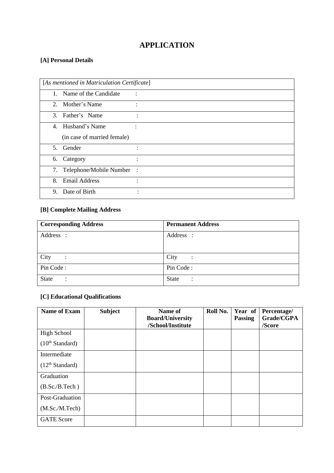# **APPLICATION**

## **[A] Personal Details**

| [As mentioned in Matriculation Certificate] |                             |                |  |  |
|---------------------------------------------|-----------------------------|----------------|--|--|
| 1.                                          | Name of the Candidate       |                |  |  |
|                                             | 2. Mother's Name            | $\ddot{\cdot}$ |  |  |
|                                             | 3. Father's Name            |                |  |  |
|                                             | 4. Husband's Name           |                |  |  |
|                                             | (in case of married female) |                |  |  |
| 5.                                          | Gender                      |                |  |  |
| 6.                                          | Category                    | ٠              |  |  |
| 7.                                          | Telephone/Mobile Number     | $\mathbb{R}^2$ |  |  |
| 8.                                          | <b>Email Address</b>        | ٠              |  |  |
| 9.                                          | Date of Birth               |                |  |  |

## **[B] Complete Mailing Address**

| <b>Corresponding Address</b>         | <b>Permanent Address</b>       |
|--------------------------------------|--------------------------------|
| Address :                            | Address :                      |
|                                      |                                |
| City<br>$\ddot{\cdot}$               | City<br>$\ddot{\cdot}$         |
| Pin Code:                            | Pin Code:                      |
| <b>State</b><br>$\ddot{\phantom{a}}$ | <b>State</b><br>$\ddot{\cdot}$ |

### **[C] Educational Qualifications**

| <b>Name of Exam</b>         | <b>Subject</b> | Name of<br><b>Board/University</b> | Roll No. | Year of<br><b>Passing</b> | Percentage/<br>Grade/CGPA |
|-----------------------------|----------------|------------------------------------|----------|---------------------------|---------------------------|
|                             |                | /School/Institute                  |          |                           | /Score                    |
| <b>High School</b>          |                |                                    |          |                           |                           |
| (10 <sup>th</sup> Standard) |                |                                    |          |                           |                           |
| Intermediate                |                |                                    |          |                           |                           |
| (12 <sup>th</sup> Standard) |                |                                    |          |                           |                           |
| Graduation                  |                |                                    |          |                           |                           |
| (B.Sc./B.Tech)              |                |                                    |          |                           |                           |
| Post-Graduation             |                |                                    |          |                           |                           |
| (M.Sc./M.Tech)              |                |                                    |          |                           |                           |
| <b>GATE</b> Score           |                |                                    |          |                           |                           |